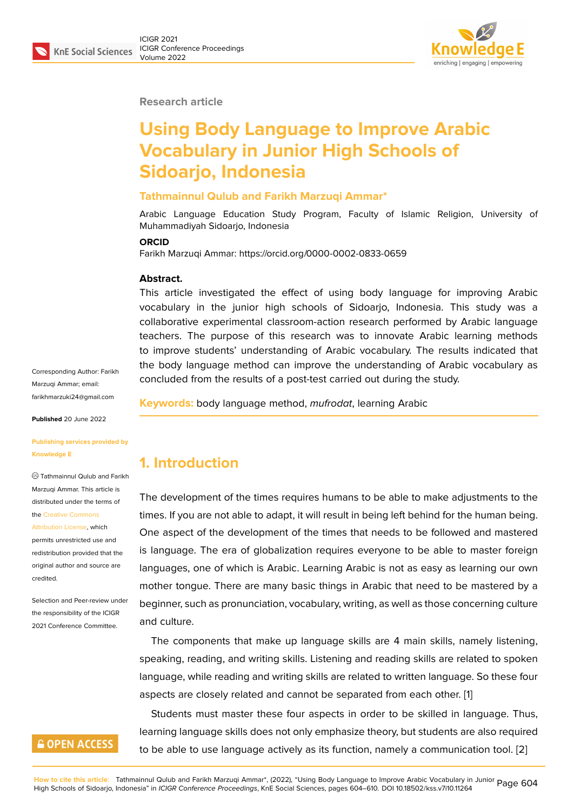

**Research article**

# **Using Body Language to Improve Arabic Vocabulary in Junior High Schools of Sidoarjo, Indonesia**

#### **Tathmainnul Qulub and Farikh Marzuqi Ammar\***

Arabic Language Education Study Program, Faculty of Islamic Religion, University of Muhammadiyah Sidoarjo, Indonesia

#### **ORCID**

Farikh Marzuqi Ammar: https://orcid.org/0000-0002-0833-0659

#### **Abstract.**

This article investigated the effect of using body language for improving Arabic vocabulary in the junior high schools of Sidoarjo, Indonesia. This study was a collaborative experimental classroom-action research performed by Arabic language teachers. The purpose of this research was to innovate Arabic learning methods to improve students' understanding of Arabic vocabulary. The results indicated that the body language method can improve the understanding of Arabic vocabulary as concluded from the results of a post-test carried out during the study.

**Keywords:** body language method, *mufrodat*, learning Arabic

### **1. Introduction**

The development of the times requires humans to be able to make adjustments to the times. If you are not able to adapt, it will result in being left behind for the human being. One aspect of the development of the times that needs to be followed and mastered is language. The era of globalization requires everyone to be able to master foreign languages, one of which is Arabic. Learning Arabic is not as easy as learning our own mother tongue. There are many basic things in Arabic that need to be mastered by a beginner, such as pronunciation, vocabulary, writing, as well as those concerning culture and culture.

The components that make up language skills are 4 main skills, namely listening, speaking, reading, and writing skills. Listening and reading skills are related to spoken language, while reading and writing skills are related to written language. So these four aspects are closely related and cannot be separated from each other. [1]

Students must master these four aspects in order to be skilled in language. Thus, learning language skills does not only emphasize theory, but students are also required to be able to use language actively as its function, namely a communi[ca](#page-6-0)tion tool. [2]

Corresponding Author: Farikh Marzuqi Ammar; email: farikhmarzuki24@gmail.com

**Published** 20 June 2022

#### **[Publishing services provide](mailto:farikhmarzuki24@gmail.com)d by Knowledge E**

Tathmainnul Qulub and Farikh Marzuqi Ammar. This article is distributed under the terms of the Creative Commons

Attribution License, which permits unrestricted use and redistribution provided that the orig[inal author and sou](https://creativecommons.org/licenses/by/4.0/)rce are [credited.](https://creativecommons.org/licenses/by/4.0/)

Selection and Peer-review under the responsibility of the ICIGR 2021 Conference Committee.

### **GOPEN ACCESS**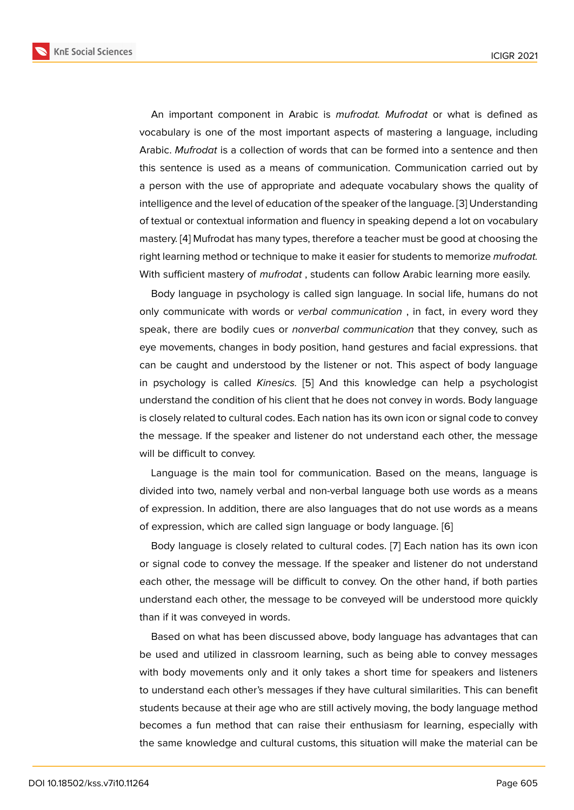An important component in Arabic is *mufrodat. Mufrodat* or what is defined as vocabulary is one of the most important aspects of mastering a language, including Arabic. *Mufrodat* is a collection of words that can be formed into a sentence and then this sentence is used as a means of communication. Communication carried out by a person with the use of appropriate and adequate vocabulary shows the quality of intelligence and the level of education of the speaker of the language. [3] Understanding of textual or contextual information and fluency in speaking depend a lot on vocabulary mastery. [4] Mufrodat has many types, therefore a teacher must be good at choosing the right learning method or technique to make it easier for students to m[em](#page-6-1)orize *mufrodat.* With sufficient mastery of *mufrodat* , students can follow Arabic learning more easily.

Body l[an](#page-6-2)guage in psychology is called sign language. In social life, humans do not only communicate with words or *verbal communication* , in fact, in every word they speak, there are bodily cues or *nonverbal communication* that they convey, such as eye movements, changes in body position, hand gestures and facial expressions. that can be caught and understood by the listener or not. This aspect of body language in psychology is called *Kinesics.* [5] And this knowledge can help a psychologist understand the condition of his client that he does not convey in words. Body language is closely related to cultural codes. Each nation has its own icon or signal code to convey the message. If the speaker and lis[te](#page-6-3)ner do not understand each other, the message will be difficult to convey.

Language is the main tool for communication. Based on the means, language is divided into two, namely verbal and non-verbal language both use words as a means of expression. In addition, there are also languages that do not use words as a means of expression, which are called sign language or body language. [6]

Body language is closely related to cultural codes. [7] Each nation has its own icon or signal code to convey the message. If the speaker and listener do not understand each other, the message will be difficult to convey. On the other [ha](#page-6-4)nd, if both parties understand each other, the message to be conveyed [wi](#page-6-5)ll be understood more quickly than if it was conveyed in words.

Based on what has been discussed above, body language has advantages that can be used and utilized in classroom learning, such as being able to convey messages with body movements only and it only takes a short time for speakers and listeners to understand each other's messages if they have cultural similarities. This can benefit students because at their age who are still actively moving, the body language method becomes a fun method that can raise their enthusiasm for learning, especially with the same knowledge and cultural customs, this situation will make the material can be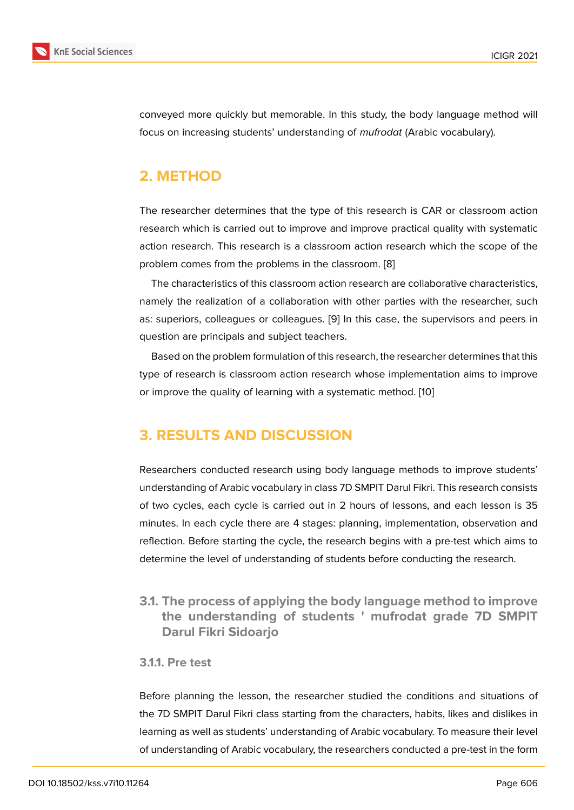conveyed more quickly but memorable. In this study, the body language method will focus on increasing students' understanding of *mufrodat* (Arabic vocabulary).

# **2. METHOD**

The researcher determines that the type of this research is CAR or classroom action research which is carried out to improve and improve practical quality with systematic action research. This research is a classroom action research which the scope of the problem comes from the problems in the classroom. [8]

The characteristics of this classroom action research are collaborative characteristics, namely the realization of a collaboration with other parties with the researcher, such as: superiors, colleagues or colleagues. [9] In this ca[se](#page-6-6), the supervisors and peers in question are principals and subject teachers.

Based on the problem formulation of this research, the researcher determines that this type of research is classroom action res[ear](#page-6-7)ch whose implementation aims to improve or improve the quality of learning with a systematic method. [10]

## **3. RESULTS AND DISCUSSION**

Researchers conducted research using body language methods to improve students' understanding of Arabic vocabulary in class 7D SMPIT Darul Fikri. This research consists of two cycles, each cycle is carried out in 2 hours of lessons, and each lesson is 35 minutes. In each cycle there are 4 stages: planning, implementation, observation and reflection. Before starting the cycle, the research begins with a pre-test which aims to determine the level of understanding of students before conducting the research.

**3.1. The process of applying the body language method to improve the understanding of students ' mufrodat grade 7D SMPIT Darul Fikri Sidoarjo**

#### **3.1.1. Pre test**

Before planning the lesson, the researcher studied the conditions and situations of the 7D SMPIT Darul Fikri class starting from the characters, habits, likes and dislikes in learning as well as students' understanding of Arabic vocabulary. To measure their level of understanding of Arabic vocabulary, the researchers conducted a pre-test in the form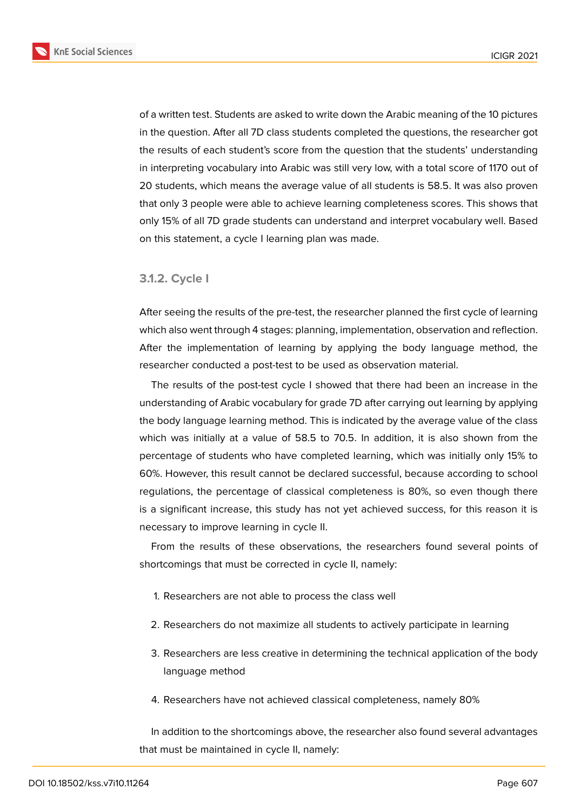

of a written test. Students are asked to write down the Arabic meaning of the 10 pictures in the question. After all 7D class students completed the questions, the researcher got the results of each student's score from the question that the students' understanding in interpreting vocabulary into Arabic was still very low, with a total score of 1170 out of 20 students, which means the average value of all students is 58.5. It was also proven that only 3 people were able to achieve learning completeness scores. This shows that only 15% of all 7D grade students can understand and interpret vocabulary well. Based on this statement, a cycle I learning plan was made.

#### **3.1.2. Cycle I**

After seeing the results of the pre-test, the researcher planned the first cycle of learning which also went through 4 stages: planning, implementation, observation and reflection. After the implementation of learning by applying the body language method, the researcher conducted a post-test to be used as observation material.

The results of the post-test cycle I showed that there had been an increase in the understanding of Arabic vocabulary for grade 7D after carrying out learning by applying the body language learning method. This is indicated by the average value of the class which was initially at a value of 58.5 to 70.5. In addition, it is also shown from the percentage of students who have completed learning, which was initially only 15% to 60%. However, this result cannot be declared successful, because according to school regulations, the percentage of classical completeness is 80%, so even though there is a significant increase, this study has not yet achieved success, for this reason it is necessary to improve learning in cycle II.

From the results of these observations, the researchers found several points of shortcomings that must be corrected in cycle II, namely:

- 1. Researchers are not able to process the class well
- 2. Researchers do not maximize all students to actively participate in learning
- 3. Researchers are less creative in determining the technical application of the body language method
- 4. Researchers have not achieved classical completeness, namely 80%

In addition to the shortcomings above, the researcher also found several advantages that must be maintained in cycle II, namely: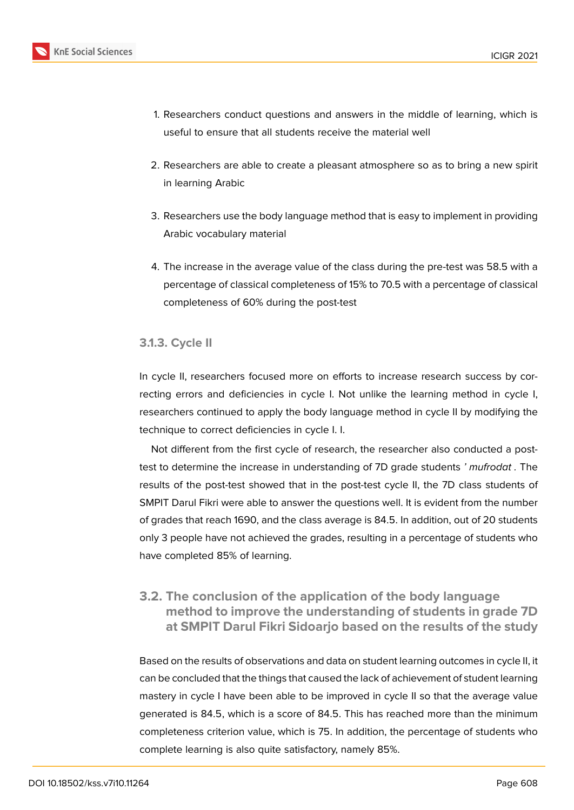

- 1. Researchers conduct questions and answers in the middle of learning, which is useful to ensure that all students receive the material well
- 2. Researchers are able to create a pleasant atmosphere so as to bring a new spirit in learning Arabic
- 3. Researchers use the body language method that is easy to implement in providing Arabic vocabulary material
- 4. The increase in the average value of the class during the pre-test was 58.5 with a percentage of classical completeness of 15% to 70.5 with a percentage of classical completeness of 60% during the post-test

#### **3.1.3. Cycle II**

In cycle II, researchers focused more on efforts to increase research success by correcting errors and deficiencies in cycle I. Not unlike the learning method in cycle I, researchers continued to apply the body language method in cycle II by modifying the technique to correct deficiencies in cycle I. I.

Not different from the first cycle of research, the researcher also conducted a posttest to determine the increase in understanding of 7D grade students *' mufrodat .* The results of the post-test showed that in the post-test cycle II, the 7D class students of SMPIT Darul Fikri were able to answer the questions well. It is evident from the number of grades that reach 1690, and the class average is 84.5. In addition, out of 20 students only 3 people have not achieved the grades, resulting in a percentage of students who have completed 85% of learning.

#### **3.2. The conclusion of the application of the body language method to improve the understanding of students in grade 7D at SMPIT Darul Fikri Sidoarjo based on the results of the study**

Based on the results of observations and data on student learning outcomes in cycle II, it can be concluded that the things that caused the lack of achievement of student learning mastery in cycle I have been able to be improved in cycle II so that the average value generated is 84.5, which is a score of 84.5. This has reached more than the minimum completeness criterion value, which is 75. In addition, the percentage of students who complete learning is also quite satisfactory, namely 85%.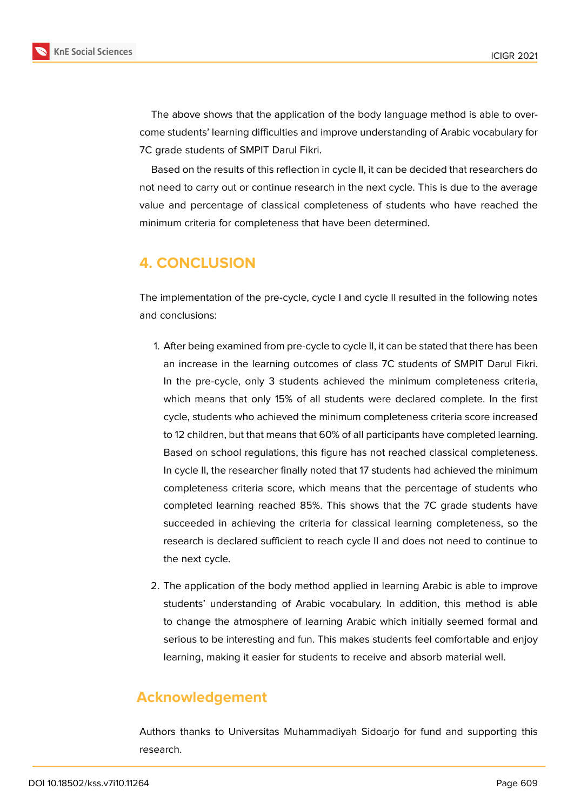

The above shows that the application of the body language method is able to overcome students' learning difficulties and improve understanding of Arabic vocabulary for 7C grade students of SMPIT Darul Fikri.

Based on the results of this reflection in cycle II, it can be decided that researchers do not need to carry out or continue research in the next cycle. This is due to the average value and percentage of classical completeness of students who have reached the minimum criteria for completeness that have been determined.

## **4. CONCLUSION**

The implementation of the pre-cycle, cycle I and cycle II resulted in the following notes and conclusions:

- 1. After being examined from pre-cycle to cycle II, it can be stated that there has been an increase in the learning outcomes of class 7C students of SMPIT Darul Fikri. In the pre-cycle, only 3 students achieved the minimum completeness criteria, which means that only 15% of all students were declared complete. In the first cycle, students who achieved the minimum completeness criteria score increased to 12 children, but that means that 60% of all participants have completed learning. Based on school regulations, this figure has not reached classical completeness. In cycle II, the researcher finally noted that 17 students had achieved the minimum completeness criteria score, which means that the percentage of students who completed learning reached 85%. This shows that the 7C grade students have succeeded in achieving the criteria for classical learning completeness, so the research is declared sufficient to reach cycle II and does not need to continue to the next cycle.
- 2. The application of the body method applied in learning Arabic is able to improve students' understanding of Arabic vocabulary. In addition, this method is able to change the atmosphere of learning Arabic which initially seemed formal and serious to be interesting and fun. This makes students feel comfortable and enjoy learning, making it easier for students to receive and absorb material well.

### **Acknowledgement**

Authors thanks to Universitas Muhammadiyah Sidoarjo for fund and supporting this research.